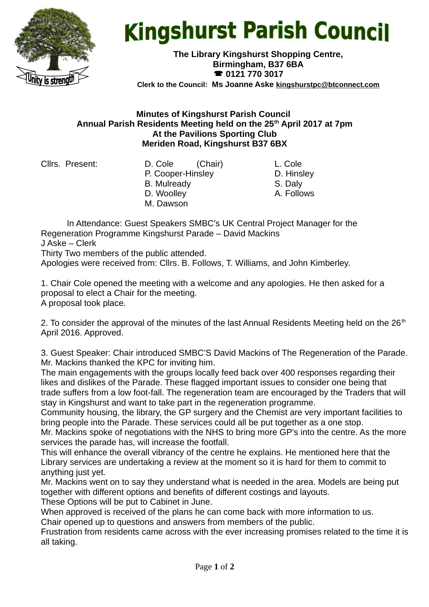

## **Kingshurst Parish Council**

**The Library Kingshurst Shopping Centre, Birmingham, B37 6BA 0121 770 3017 Clerk to the Council: Ms Joanne Aske [kingshurstpc@btconnect.com](mailto:kingshurstpc@btconnect.com)**

## **Minutes of Kingshurst Parish Council Annual Parish Residents Meeting held on the 25th April 2017 at 7pm At the Pavilions Sporting Club Meriden Road, Kingshurst B37 6BX**

Cllrs. Present: D. Cole (Chair) L. Cole P. Cooper-Hinsley D. Hinsley B. Mulready S. Daly D. Woolley **A. Follows** M. Dawson

In Attendance: Guest Speakers SMBC's UK Central Project Manager for the Regeneration Programme Kingshurst Parade – David Mackins

J Aske – Clerk

Thirty Two members of the public attended.

Apologies were received from: Cllrs. B. Follows, T. Williams, and John Kimberley.

1. Chair Cole opened the meeting with a welcome and any apologies. He then asked for a proposal to elect a Chair for the meeting. A proposal took place.

2. To consider the approval of the minutes of the last Annual Residents Meeting held on the  $26<sup>th</sup>$ April 2016. Approved.

3. Guest Speaker: Chair introduced SMBC'S David Mackins of The Regeneration of the Parade. Mr. Mackins thanked the KPC for inviting him.

The main engagements with the groups locally feed back over 400 responses regarding their likes and dislikes of the Parade. These flagged important issues to consider one being that trade suffers from a low foot-fall. The regeneration team are encouraged by the Traders that will stay in Kingshurst and want to take part in the regeneration programme.

Community housing, the library, the GP surgery and the Chemist are very important facilities to bring people into the Parade. These services could all be put together as a one stop.

Mr. Mackins spoke of negotiations with the NHS to bring more GP's into the centre. As the more services the parade has, will increase the footfall.

This will enhance the overall vibrancy of the centre he explains. He mentioned here that the Library services are undertaking a review at the moment so it is hard for them to commit to anything just yet.

Mr. Mackins went on to say they understand what is needed in the area. Models are being put together with different options and benefits of different costings and layouts.

These Options will be put to Cabinet in June.

When approved is received of the plans he can come back with more information to us.

Chair opened up to questions and answers from members of the public.

Frustration from residents came across with the ever increasing promises related to the time it is all taking.